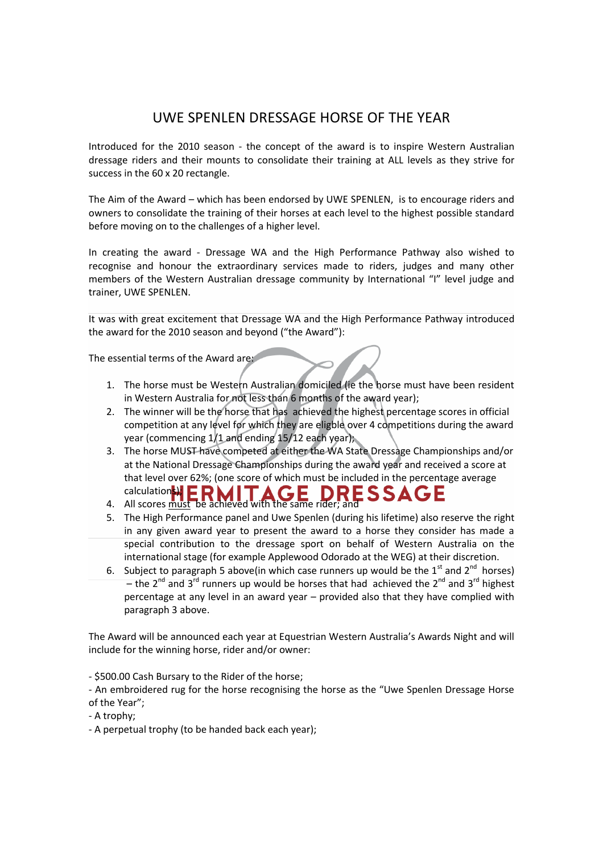## UWE SPENLEN DRESSAGE HORSE OF THE YEAR

Introduced for the 2010 season - the concept of the award is to inspire Western Australian dressage riders and their mounts to consolidate their training at ALL levels as they strive for success in the 60 x 20 rectangle.

The Aim of the Award – which has been endorsed by UWE SPENLEN, is to encourage riders and owners to consolidate the training of their horses at each level to the highest possible standard before moving on to the challenges of a higher level.

In creating the award - Dressage WA and the High Performance Pathway also wished to recognise and honour the extraordinary services made to riders, judges and many other members of the Western Australian dressage community by International "I" level judge and trainer, UWE SPENLEN.

It was with great excitement that Dressage WA and the High Performance Pathway introduced the award for the 2010 season and beyond ("the Award"):

The essential terms of the Award are:

- 1. The horse must be Western Australian domiciled (ie the horse must have been resident in Western Australia for not less than 6 months of the award year);
- 2. The winner will be the horse that has achieved the highest percentage scores in official competition at any level for which they are eligble over 4 competitions during the award year (commencing 1/1 and ending 15/12 each year);
- 3. The horse MUST have competed at either the WA State Dressage Championships and/or at the National Dressage Championships during the award year and received a score at that level over 62%; (one score of which must be included in the percentage average calculation<mark>s);</mark> **DRESSA**
- 4. All scores must be achieved with the same rider; and
- 5. The High Performance panel and Uwe Spenlen (during his lifetime) also reserve the right in any given award year to present the award to a horse they consider has made a special contribution to the dressage sport on behalf of Western Australia on the international stage (for example Applewood Odorado at the WEG) at their discretion.
- 6. Subject to paragraph 5 above(in which case runners up would be the  $1<sup>st</sup>$  and  $2<sup>nd</sup>$  horses) – the 2<sup>nd</sup> and 3<sup>rd</sup> runners up would be horses that had achieved the 2<sup>nd</sup> and 3<sup>rd</sup> highest percentage at any level in an award year – provided also that they have complied with paragraph 3 above.

The Award will be announced each year at Equestrian Western Australia's Awards Night and will include for the winning horse, rider and/or owner:

- \$500.00 Cash Bursary to the Rider of the horse;

- An embroidered rug for the horse recognising the horse as the "Uwe Spenlen Dressage Horse of the Year";

- A trophy;
- A perpetual trophy (to be handed back each year);